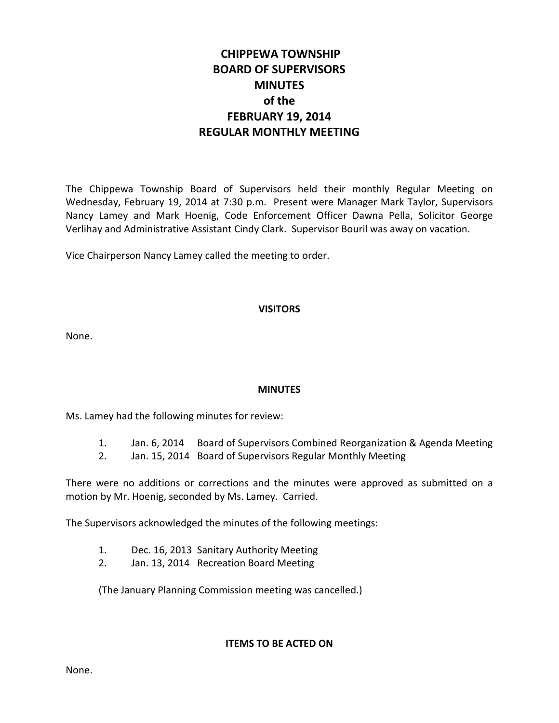# **CHIPPEWA TOWNSHIP BOARD OF SUPERVISORS MINUTES of the FEBRUARY 19, 2014 REGULAR MONTHLY MEETING**

The Chippewa Township Board of Supervisors held their monthly Regular Meeting on Wednesday, February 19, 2014 at 7:30 p.m. Present were Manager Mark Taylor, Supervisors Nancy Lamey and Mark Hoenig, Code Enforcement Officer Dawna Pella, Solicitor George Verlihay and Administrative Assistant Cindy Clark. Supervisor Bouril was away on vacation.

Vice Chairperson Nancy Lamey called the meeting to order.

## **VISITORS**

None.

## **MINUTES**

Ms. Lamey had the following minutes for review:

- 1. Jan. 6, 2014 Board of Supervisors Combined Reorganization & Agenda Meeting
- 2. Jan. 15, 2014 Board of Supervisors Regular Monthly Meeting

There were no additions or corrections and the minutes were approved as submitted on a motion by Mr. Hoenig, seconded by Ms. Lamey. Carried.

The Supervisors acknowledged the minutes of the following meetings:

- 1. Dec. 16, 2013 Sanitary Authority Meeting
- 2. Jan. 13, 2014 Recreation Board Meeting

(The January Planning Commission meeting was cancelled.)

## **ITEMS TO BE ACTED ON**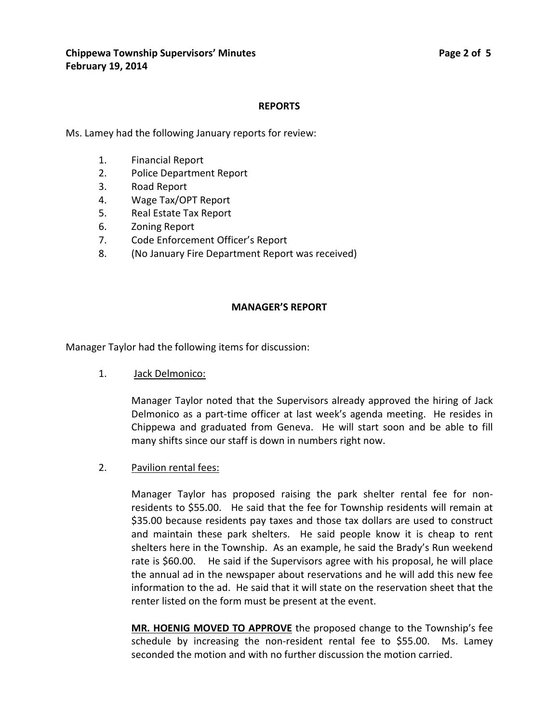## **REPORTS**

Ms. Lamey had the following January reports for review:

- 1. Financial Report
- 2. Police Department Report
- 3. Road Report
- 4. Wage Tax/OPT Report
- 5. Real Estate Tax Report
- 6. Zoning Report
- 7. Code Enforcement Officer's Report
- 8. (No January Fire Department Report was received)

## **MANAGER'S REPORT**

Manager Taylor had the following items for discussion:

1. Jack Delmonico:

Manager Taylor noted that the Supervisors already approved the hiring of Jack Delmonico as a part-time officer at last week's agenda meeting. He resides in Chippewa and graduated from Geneva. He will start soon and be able to fill many shifts since our staff is down in numbers right now.

2. Pavilion rental fees:

Manager Taylor has proposed raising the park shelter rental fee for nonresidents to \$55.00. He said that the fee for Township residents will remain at \$35.00 because residents pay taxes and those tax dollars are used to construct and maintain these park shelters. He said people know it is cheap to rent shelters here in the Township. As an example, he said the Brady's Run weekend rate is \$60.00. He said if the Supervisors agree with his proposal, he will place the annual ad in the newspaper about reservations and he will add this new fee information to the ad. He said that it will state on the reservation sheet that the renter listed on the form must be present at the event.

**MR. HOENIG MOVED TO APPROVE** the proposed change to the Township's fee schedule by increasing the non-resident rental fee to \$55.00. Ms. Lamey seconded the motion and with no further discussion the motion carried.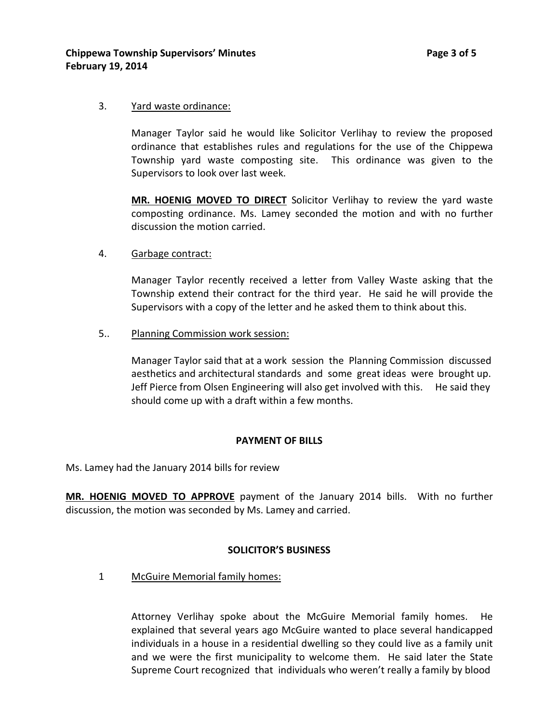#### 3. Yard waste ordinance:

Manager Taylor said he would like Solicitor Verlihay to review the proposed ordinance that establishes rules and regulations for the use of the Chippewa Township yard waste composting site. This ordinance was given to the Supervisors to look over last week.

**MR. HOENIG MOVED TO DIRECT** Solicitor Verlihay to review the yard waste composting ordinance. Ms. Lamey seconded the motion and with no further discussion the motion carried.

4. Garbage contract:

Manager Taylor recently received a letter from Valley Waste asking that the Township extend their contract for the third year. He said he will provide the Supervisors with a copy of the letter and he asked them to think about this.

5.. Planning Commission work session:

Manager Taylor said that at a work session the Planning Commission discussed aesthetics and architectural standards and some great ideas were brought up. Jeff Pierce from Olsen Engineering will also get involved with this. He said they should come up with a draft within a few months.

#### **PAYMENT OF BILLS**

Ms. Lamey had the January 2014 bills for review

**MR. HOENIG MOVED TO APPROVE** payment of the January 2014 bills. With no further discussion, the motion was seconded by Ms. Lamey and carried.

#### **SOLICITOR'S BUSINESS**

1 McGuire Memorial family homes:

Attorney Verlihay spoke about the McGuire Memorial family homes. He explained that several years ago McGuire wanted to place several handicapped individuals in a house in a residential dwelling so they could live as a family unit and we were the first municipality to welcome them. He said later the State Supreme Court recognized that individuals who weren't really a family by blood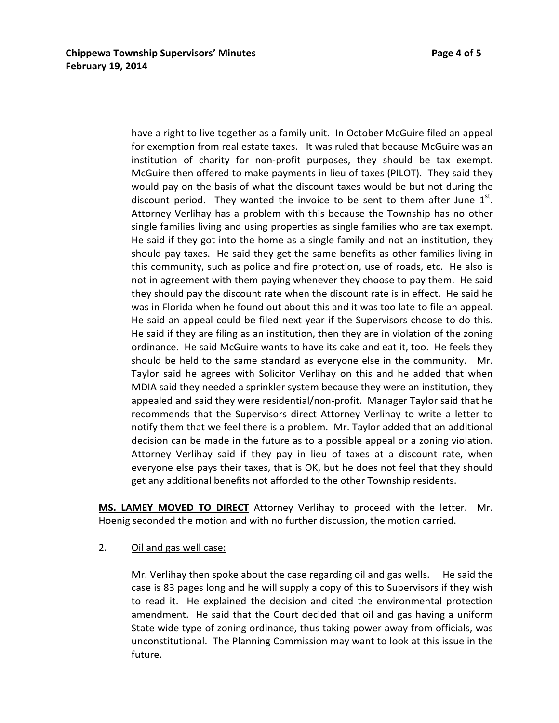have a right to live together as a family unit. In October McGuire filed an appeal for exemption from real estate taxes. It was ruled that because McGuire was an institution of charity for non-profit purposes, they should be tax exempt. McGuire then offered to make payments in lieu of taxes (PILOT). They said they would pay on the basis of what the discount taxes would be but not during the discount period. They wanted the invoice to be sent to them after June  $1<sup>st</sup>$ . Attorney Verlihay has a problem with this because the Township has no other single families living and using properties as single families who are tax exempt. He said if they got into the home as a single family and not an institution, they should pay taxes. He said they get the same benefits as other families living in this community, such as police and fire protection, use of roads, etc. He also is not in agreement with them paying whenever they choose to pay them. He said they should pay the discount rate when the discount rate is in effect. He said he was in Florida when he found out about this and it was too late to file an appeal. He said an appeal could be filed next year if the Supervisors choose to do this. He said if they are filing as an institution, then they are in violation of the zoning ordinance. He said McGuire wants to have its cake and eat it, too. He feels they should be held to the same standard as everyone else in the community. Mr. Taylor said he agrees with Solicitor Verlihay on this and he added that when MDIA said they needed a sprinkler system because they were an institution, they appealed and said they were residential/non-profit. Manager Taylor said that he recommends that the Supervisors direct Attorney Verlihay to write a letter to notify them that we feel there is a problem. Mr. Taylor added that an additional decision can be made in the future as to a possible appeal or a zoning violation. Attorney Verlihay said if they pay in lieu of taxes at a discount rate, when everyone else pays their taxes, that is OK, but he does not feel that they should get any additional benefits not afforded to the other Township residents.

**MS. LAMEY MOVED TO DIRECT** Attorney Verlihay to proceed with the letter. Mr. Hoenig seconded the motion and with no further discussion, the motion carried.

2. Oil and gas well case:

Mr. Verlihay then spoke about the case regarding oil and gas wells. He said the case is 83 pages long and he will supply a copy of this to Supervisors if they wish to read it. He explained the decision and cited the environmental protection amendment. He said that the Court decided that oil and gas having a uniform State wide type of zoning ordinance, thus taking power away from officials, was unconstitutional. The Planning Commission may want to look at this issue in the future.